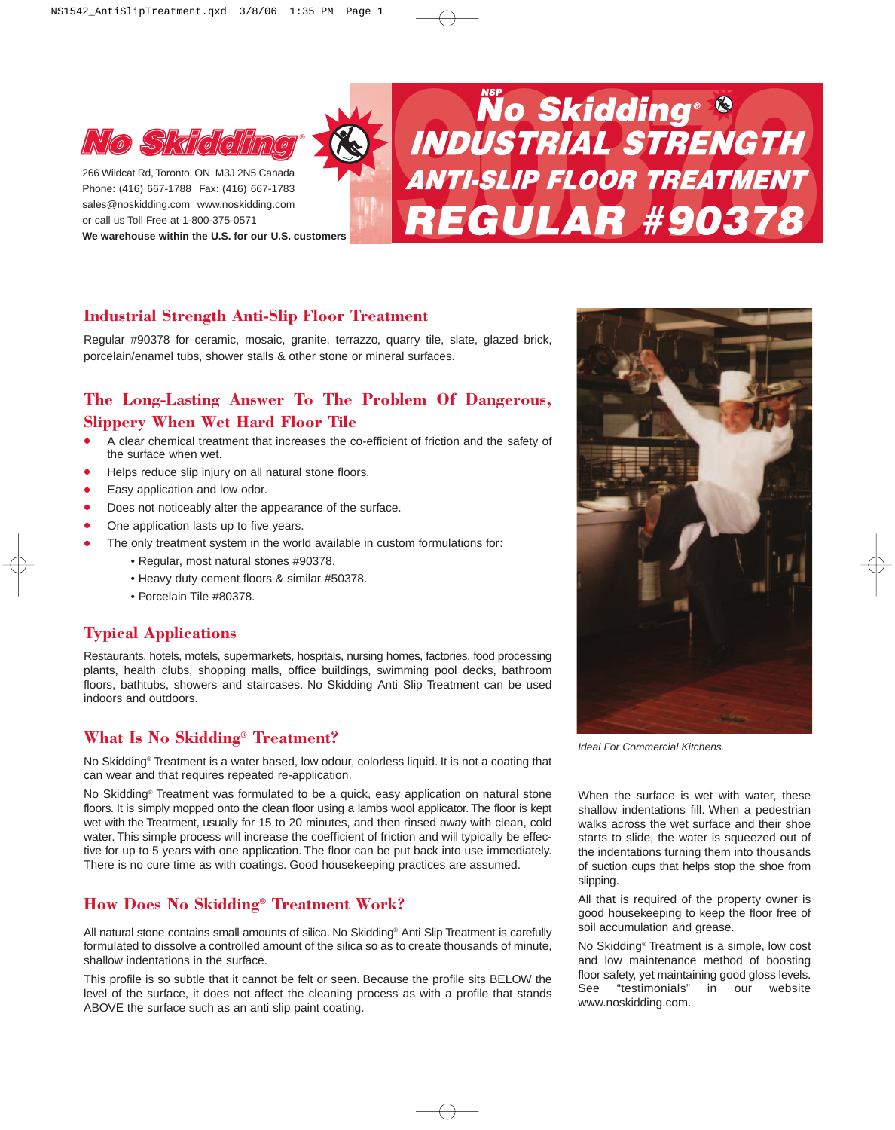

Phone: (416) 667-1788 Fax: (416) 667-1783 sales@noskidding.com www.noskidding.com or call us Toll Free at 1-800-375-0571 **We warehouse within the U.S. for our U.S. customers**

# **No Skidding <sup>8</sup>**<br>
Phone: (416) 667-1788 Fax: (416) 667-1783<br>
Slag @noskidding.com www.noskidding.com<br>
or call us Toll Free at 1-800-375-0571<br>
We warehouse within the U.S. for our U.S. customers<br>
We warehouse within the U.

# **Industrial Strength Anti-Slip Floor Treatment**

Regular #90378 for ceramic, mosaic, granite, terrazzo, quarry tile, slate, glazed brick, porcelain/enamel tubs, shower stalls & other stone or mineral surfaces.

# **The Long-Lasting Answer To The Problem Of Dangerous, Slippery When Wet Hard Floor Tile**

- A clear chemical treatment that increases the co-efficient of friction and the safety of the surface when wet.
- Helps reduce slip injury on all natural stone floors.
- Easy application and low odor.<br>• Does not noticeably alter the ar
- Does not noticeably alter the appearance of the surface.
- One application lasts up to five years.
- The only treatment system in the world available in custom formulations for:
	- Regular, most natural stones #90378.
		- Heavy duty cement floors & similar #50378.
		- Porcelain Tile #80378.

# **Typical Applications**

Restaurants, hotels, motels, supermarkets, hospitals, nursing homes, factories, food processing plants, health clubs, shopping malls, office buildings, swimming pool decks, bathroom floors, bathtubs, showers and staircases. No Skidding Anti Slip Treatment can be used indoors and outdoors.

# **What Is No Skidding® Treatment?**

No Skidding® Treatment is a water based, low odour, colorless liquid. It is not a coating that can wear and that requires repeated re-application.

No Skidding® Treatment was formulated to be a quick, easy application on natural stone floors. It is simply mopped onto the clean floor using a lambs wool applicator. The floor is kept wet with the Treatment, usually for 15 to 20 minutes, and then rinsed away with clean, cold water. This simple process will increase the coefficient of friction and will typically be effective for up to 5 years with one application. The floor can be put back into use immediately. There is no cure time as with coatings. Good housekeeping practices are assumed.

# **How Does No Skidding® Treatment Work?**

All natural stone contains small amounts of silica. No Skidding® Anti Slip Treatment is carefully formulated to dissolve a controlled amount of the silica so as to create thousands of minute, shallow indentations in the surface.

This profile is so subtle that it cannot be felt or seen. Because the profile sits BELOW the level of the surface, it does not affect the cleaning process as with a profile that stands ABOVE the surface such as an anti slip paint coating.



*Ideal For Commercial Kitchens.*

When the surface is wet with water, these shallow indentations fill. When a pedestrian walks across the wet surface and their shoe starts to slide, the water is squeezed out of the indentations turning them into thousands of suction cups that helps stop the shoe from slipping.

All that is required of the property owner is good housekeeping to keep the floor free of soil accumulation and grease.

No Skidding® Treatment is a simple, low cost and low maintenance method of boosting floor safety, yet maintaining good gloss levels. See "testimonials" in our website www.noskidding.com.